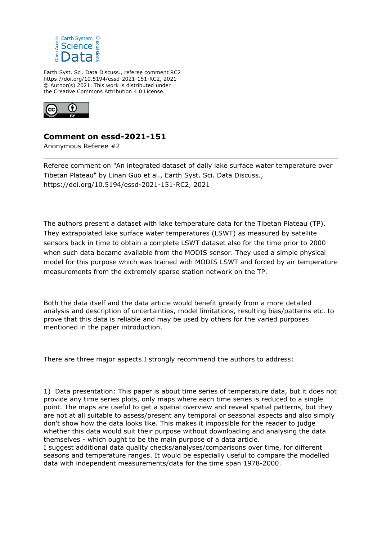

Earth Syst. Sci. Data Discuss., referee comment RC2 https://doi.org/10.5194/essd-2021-151-RC2, 2021 © Author(s) 2021. This work is distributed under the Creative Commons Attribution 4.0 License.



# **Comment on essd-2021-151**

Anonymous Referee #2

Referee comment on "An integrated dataset of daily lake surface water temperature over Tibetan Plateau" by Linan Guo et al., Earth Syst. Sci. Data Discuss., https://doi.org/10.5194/essd-2021-151-RC2, 2021

The authors present a dataset with lake temperature data for the Tibetan Plateau (TP). They extrapolated lake surface water temperatures (LSWT) as measured by satellite sensors back in time to obtain a complete LSWT dataset also for the time prior to 2000 when such data became available from the MODIS sensor. They used a simple physical model for this purpose which was trained with MODIS LSWT and forced by air temperature measurements from the extremely sparse station network on the TP.

Both the data itself and the data article would benefit greatly from a more detailed analysis and description of uncertainties, model limitations, resulting bias/patterns etc. to prove that this data is reliable and may be used by others for the varied purposes mentioned in the paper introduction.

There are three major aspects I strongly recommend the authors to address:

1) Data presentation: This paper is about time series of temperature data, but it does not provide any time series plots, only maps where each time series is reduced to a single point. The maps are useful to get a spatial overview and reveal spatial patterns, but they are not at all suitable to assess/present any temporal or seasonal aspects and also simply don't show how the data looks like. This makes it impossible for the reader to judge whether this data would suit their purpose without downloading and analysing the data themselves - which ought to be the main purpose of a data article.

I suggest additional data quality checks/analyses/comparisons over time, for different seasons and temperature ranges. It would be especially useful to compare the modelled data with independent measurements/data for the time span 1978-2000.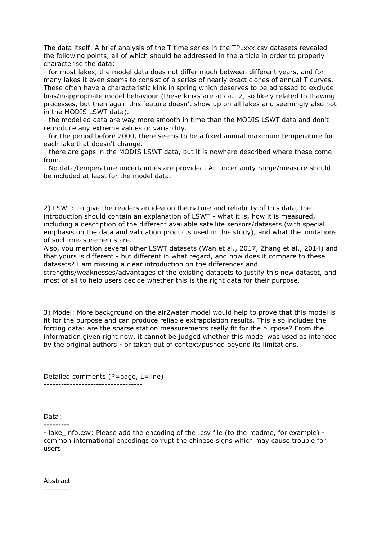The data itself: A brief analysis of the T time series in the TPLxxx.csv datasets revealed the following points, all of which should be addressed in the article in order to properly characterise the data:

- for most lakes, the model data does not differ much between different years, and for many lakes it even seems to consist of a series of nearly exact clones of annual T curves. These often have a characteristic kink in spring which deserves to be adressed to exclude bias/inappropriate model behaviour (these kinks are at ca. -2, so likely related to thawing processes, but then again this feature doesn't show up on all lakes and seemingly also not in the MODIS LSWT data).

- the modelled data are way more smooth in time than the MODIS LSWT data and don't reproduce any extreme values or variability.

- for the period before 2000, there seems to be a fixed annual maximum temperature for each lake that doesn't change.

- there are gaps in the MODIS LSWT data, but it is nowhere described where these come from.

- No data/temperature uncertainties are provided. An uncertainty range/measure should be included at least for the model data.

2) LSWT: To give the readers an idea on the nature and reliability of this data, the introduction should contain an explanation of LSWT - what it is, how it is measured, including a description of the different available satellite sensors/datasets (with special emphasis on the data and validation products used in this study), and what the limitations of such measurements are.

Also, you mention several other LSWT datasets (Wan et al., 2017, Zhang et al., 2014) and that yours is different - but different in what regard, and how does it compare to these datasets? I am missing a clear introduction on the differences and

strengths/weaknesses/advantages of the existing datasets to justify this new dataset, and most of all to help users decide whether this is the right data for their purpose.

3) Model: More background on the air2water model would help to prove that this model is fit for the purpose and can produce reliable extrapolation results. This also includes the forcing data: are the sparse station measurements really fit for the purpose? From the information given right now, it cannot be judged whether this model was used as intended by the original authors - or taken out of context/pushed beyond its limitations.

Detailed comments (P=page, L=line) ----------------------------------

Data:

---------

- lake info.csv: Please add the encoding of the .csv file (to the readme, for example) common international encodings corrupt the chinese signs which may cause trouble for users

Abstract ---------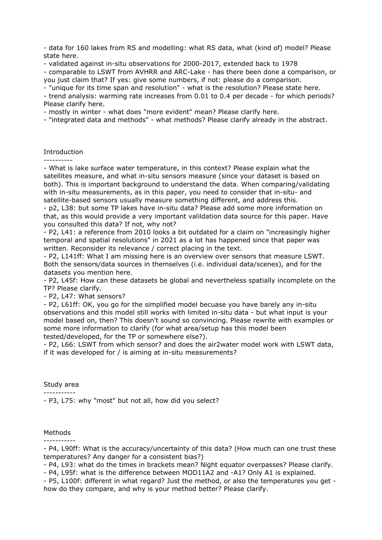- data for 160 lakes from RS and modelling: what RS data, what (kind of) model? Please state here.

- validated against in-situ observations for 2000-2017, extended back to 1978

- comparable to LSWT from AVHRR and ARC-Lake - has there been done a comparison, or you just claim that? If yes: give some numbers, if not: please do a comparison.

- "unique for its time span and resolution" - what is the resolution? Please state here.

- trend analysis: warming rate increases from 0.01 to 0.4 per decade - for which periods? Please clarify here.

- mostly in winter - what does "more evident" mean? Please clarify here.

- "integrated data and methods" - what methods? Please clarify already in the abstract.

### Introduction

----------

- What is lake surface water temperature, in this context? Please explain what the satellites measure, and what in-situ sensors measure (since your dataset is based on both). This is important background to understand the data. When comparing/validating with in-situ measurements, as in this paper, you need to consider that in-situ- and satellite-based sensors usually measure something different, and address this.

- p2, L38: but some TP lakes have in-situ data? Please add some more information on that, as this would provide a very important valildation data source for this paper. Have you consulted this data? If not, why not?

- P2, L41: a reference from 2010 looks a bit outdated for a claim on "increasingly higher temporal and spatial resolutions" in 2021 as a lot has happened since that paper was written. Reconsider its relevance / correct placing in the text.

- P2, L141ff: What I am missing here is an overview over sensors that measure LSWT. Both the sensors/data sources in themselves (i.e. individual data/scenes), and for the datasets you mention here.

- P2, L45f: How can these datasets be global and nevertheless spatially incomplete on the TP? Please clarify.

- P2, L47: What sensors?

- P2, L61ff: OK, you go for the simplified model becuase you have barely any in-situ observations and this model still works with limited in-situ data - but what input is your model based on, then? This doesn't sound so convincing. Please rewrite with examples or some more information to clarify (for what area/setup has this model been tested/developed, for the TP or somewhere else?).

- P2, L66: LSWT from which sensor? and does the air2water model work with LSWT data, if it was developed for / is aiming at in-situ measurements?

### Study area

-----------

- P3, L75: why "most" but not all, how did you select?

### Methods

-----------

- P4, L90ff: What is the accuracy/uncertainty of this data? (How much can one trust these temperatures? Any danger for a consistent bias?)

- P4, L93: what do the times in brackets mean? Night equator overpasses? Please clarify.

- P4, L95f: what is the difference between MOD11A2 and -A1? Only A1 is explained.

- P5, L100f: different in what regard? Just the method, or also the temperatures you get how do they compare, and why is your method better? Please clarify.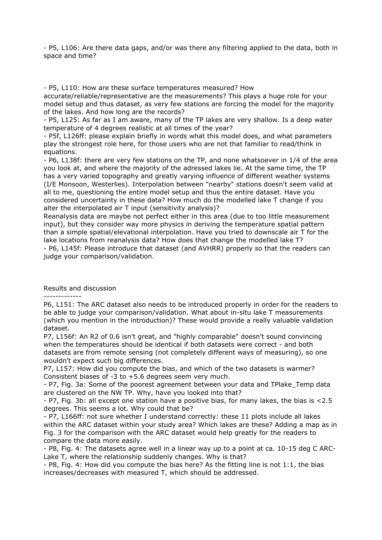- P5, L106: Are there data gaps, and/or was there any filtering applied to the data, both in space and time?

- P5, L110: How are these surface temperatures measured? How

accurate/reliable/representative are the measurements? This plays a huge role for your model setup and thus dataset, as very few stations are forcing the model for the majority of the lakes. And how long are the records?

- P5, L125: As far as I am aware, many of the TP lakes are very shallow. Is a deep water temperature of 4 degrees realistic at all times of the year?

- P5f, L126ff: please explain briefly in words what this model does, and what parameters play the strongest role here, for those users who are not that familiar to read/think in equations.

- P6, L138f: there are very few stations on the TP, and none whatsoever in 1/4 of the area you look at, and where the majority of the adressed lakes lie. At the same time, the TP has a very varied topography and greatly varying influence of different weather systems (I/E Monsoon, Westerlies). Interpolation between "nearby" stations doesn't seem valid at all to me, questioning the entire model setup and thus the entire dataset. Have you considered uncertainty in these data? How much do the modelled lake T change if you alter the interpolated air T input (sensitivity analysis)?

Reanalysis data are maybe not perfect either in this area (due to too little measurement input), but they consider way more physics in deriving the temperature spatial pattern than a simple spatial/elevational interpolation. Have you tried to downscale air T for the lake locations from reanalysis data? How does that change the modelled lake T? - P6, L145f: Please introduce that dataset (and AVHRR) properly so that the readers can judge your comparison/validation.

Results and discussion

-------------

P6, L151: The ARC dataset also needs to be introduced properly in order for the readers to be able to judge your comparison/validation. What about in-situ lake T measurements (which you mention in the introduction)? These would provide a really valuable validation dataset.

P7, L156f: An R2 of 0.6 isn't great, and "highly comparable" doesn't sound convincing when the temperatures should be identical if both datasets were correct - and both datasets are from remote sensing (not completely different ways of measuring), so one wouldn't expect such big differences.

P7, L157: How did you compute the bias, and which of the two datasets is warmer? Consistent biases of -3 to +5.6 degrees seem very much.

- P7, Fig. 3a: Some of the poorest agreement between your data and TPlake\_Temp data are clustered on the NW TP. Why, have you looked into that?

- P7, Fig. 3b: all except one station have a positive bias, for many lakes, the bias is <2.5 degrees. This seems a lot. Why could that be?

- P7, L166ff: not sure whether I understand correctly: these 11 plots include all lakes within the ARC dataset within your study area? Which lakes are these? Adding a map as in Fig. 3 for the comparison with the ARC dataset would help greatly for the readers to compare the data more easily.

- P8, Fig. 4: The datasets agree well in a linear way up to a point at ca. 10-15 deg C ARC-Lake T, where the relationship suddenly changes. Why is that?

- P8, Fig. 4: How did you compute the bias here? As the fitting line is not 1:1, the bias increases/decreases with measured T, which should be addressed.